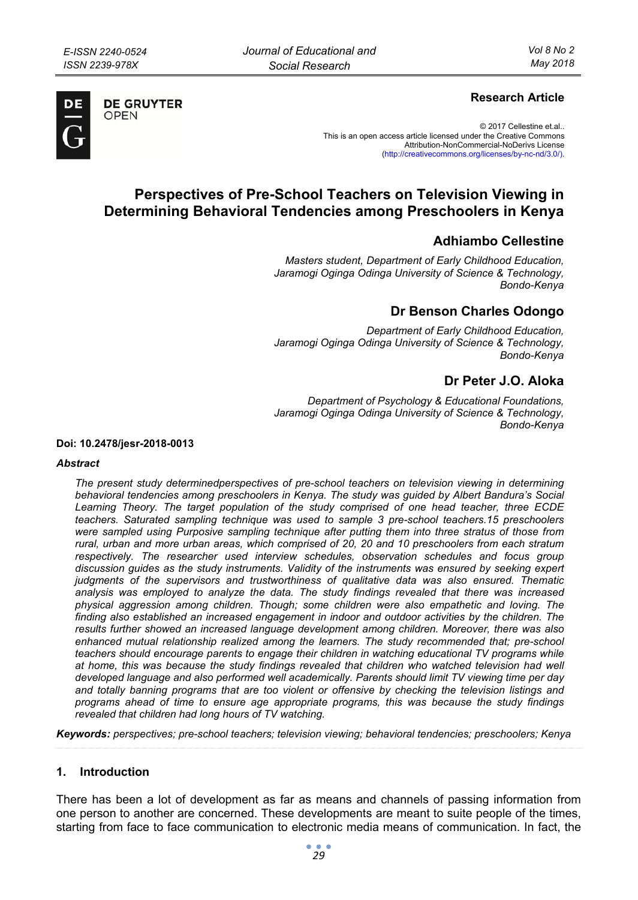

**DE GRUYTER** OPFN

## **Research Article**

© 2017 Cellestine et.al.. This is an open access article licensed under the Creative Commons Attribution-NonCommercial-NoDerivs License (http://creativecommons.org/licenses/by-nc-nd/3.0/).

# **Perspectives of Pre-School Teachers on Television Viewing in Determining Behavioral Tendencies among Preschoolers in Kenya**

# **Adhiambo Cellestine**

*Masters student, Department of Early Childhood Education, Jaramogi Oginga Odinga University of Science & Technology, Bondo-Kenya* 

## **Dr Benson Charles Odongo**

*Department of Early Childhood Education, Jaramogi Oginga Odinga University of Science & Technology, Bondo-Kenya* 

# **Dr Peter J.O. Aloka**

*Department of Psychology & Educational Foundations, Jaramogi Oginga Odinga University of Science & Technology, Bondo-Kenya* 

**Doi: 10.2478/jesr-2018-0013** 

#### *Abstract*

*The present study determinedperspectives of pre-school teachers on television viewing in determining behavioral tendencies among preschoolers in Kenya. The study was guided by Albert Bandura's Social*  Learning Theory. The target population of the study comprised of one head teacher, three ECDE *teachers. Saturated sampling technique was used to sample 3 pre-school teachers.15 preschoolers were sampled using Purposive sampling technique after putting them into three stratus of those from rural, urban and more urban areas, which comprised of 20, 20 and 10 preschoolers from each stratum*  respectively. The researcher used interview schedules, observation schedules and focus group *discussion guides as the study instruments. Validity of the instruments was ensured by seeking expert judgments of the supervisors and trustworthiness of qualitative data was also ensured. Thematic analysis was employed to analyze the data. The study findings revealed that there was increased physical aggression among children. Though; some children were also empathetic and loving. The finding also established an increased engagement in indoor and outdoor activities by the children. The results further showed an increased language development among children. Moreover, there was also*  enhanced mutual relationship realized among the learners. The study recommended that; pre-school *teachers should encourage parents to engage their children in watching educational TV programs while at home, this was because the study findings revealed that children who watched television had well developed language and also performed well academically. Parents should limit TV viewing time per day and totally banning programs that are too violent or offensive by checking the television listings and programs ahead of time to ensure age appropriate programs, this was because the study findings revealed that children had long hours of TV watching.* 

*Keywords: perspectives; pre-school teachers; television viewing; behavioral tendencies; preschoolers; Kenya* 

## **1. Introduction**

There has been a lot of development as far as means and channels of passing information from one person to another are concerned. These developments are meant to suite people of the times, starting from face to face communication to electronic media means of communication. In fact, the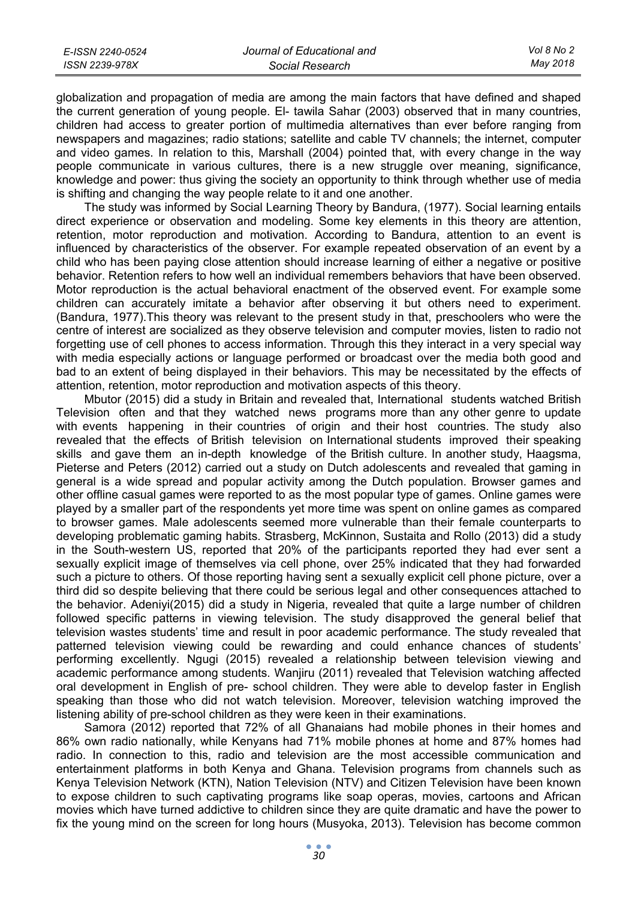| E-ISSN 2240-0524 | Journal of Educational and | Vol 8 No 2 |
|------------------|----------------------------|------------|
| ISSN 2239-978X   | Social Research            | Mav 2018   |

globalization and propagation of media are among the main factors that have defined and shaped the current generation of young people. El- tawila Sahar (2003) observed that in many countries, children had access to greater portion of multimedia alternatives than ever before ranging from newspapers and magazines; radio stations; satellite and cable TV channels; the internet, computer and video games. In relation to this, Marshall (2004) pointed that, with every change in the way people communicate in various cultures, there is a new struggle over meaning, significance, knowledge and power: thus giving the society an opportunity to think through whether use of media is shifting and changing the way people relate to it and one another.

The study was informed by Social Learning Theory by Bandura, (1977). Social learning entails direct experience or observation and modeling. Some key elements in this theory are attention, retention, motor reproduction and motivation. According to Bandura, attention to an event is influenced by characteristics of the observer. For example repeated observation of an event by a child who has been paying close attention should increase learning of either a negative or positive behavior. Retention refers to how well an individual remembers behaviors that have been observed. Motor reproduction is the actual behavioral enactment of the observed event. For example some children can accurately imitate a behavior after observing it but others need to experiment. (Bandura, 1977).This theory was relevant to the present study in that, preschoolers who were the centre of interest are socialized as they observe television and computer movies, listen to radio not forgetting use of cell phones to access information. Through this they interact in a very special way with media especially actions or language performed or broadcast over the media both good and bad to an extent of being displayed in their behaviors. This may be necessitated by the effects of attention, retention, motor reproduction and motivation aspects of this theory.

Mbutor (2015) did a study in Britain and revealed that, International students watched British Television often and that they watched news programs more than any other genre to update with events happening in their countries of origin and their host countries. The study also revealed that the effects of British television on International students improved their speaking skills and gave them an in-depth knowledge of the British culture. In another study, Haagsma, Pieterse and Peters (2012) carried out a study on Dutch adolescents and revealed that gaming in general is a wide spread and popular activity among the Dutch population. Browser games and other offline casual games were reported to as the most popular type of games. Online games were played by a smaller part of the respondents yet more time was spent on online games as compared to browser games. Male adolescents seemed more vulnerable than their female counterparts to developing problematic gaming habits. Strasberg, McKinnon, Sustaita and Rollo (2013) did a study in the South-western US, reported that 20% of the participants reported they had ever sent a sexually explicit image of themselves via cell phone, over 25% indicated that they had forwarded such a picture to others. Of those reporting having sent a sexually explicit cell phone picture, over a third did so despite believing that there could be serious legal and other consequences attached to the behavior. Adeniyi(2015) did a study in Nigeria, revealed that quite a large number of children followed specific patterns in viewing television. The study disapproved the general belief that television wastes students' time and result in poor academic performance. The study revealed that patterned television viewing could be rewarding and could enhance chances of students' performing excellently. Ngugi (2015) revealed a relationship between television viewing and academic performance among students. Wanjiru (2011) revealed that Television watching affected oral development in English of pre- school children. They were able to develop faster in English speaking than those who did not watch television. Moreover, television watching improved the listening ability of pre-school children as they were keen in their examinations.

Samora (2012) reported that 72% of all Ghanaians had mobile phones in their homes and 86% own radio nationally, while Kenyans had 71% mobile phones at home and 87% homes had radio. In connection to this, radio and television are the most accessible communication and entertainment platforms in both Kenya and Ghana. Television programs from channels such as Kenya Television Network (KTN), Nation Television (NTV) and Citizen Television have been known to expose children to such captivating programs like soap operas, movies, cartoons and African movies which have turned addictive to children since they are quite dramatic and have the power to fix the young mind on the screen for long hours (Musyoka, 2013). Television has become common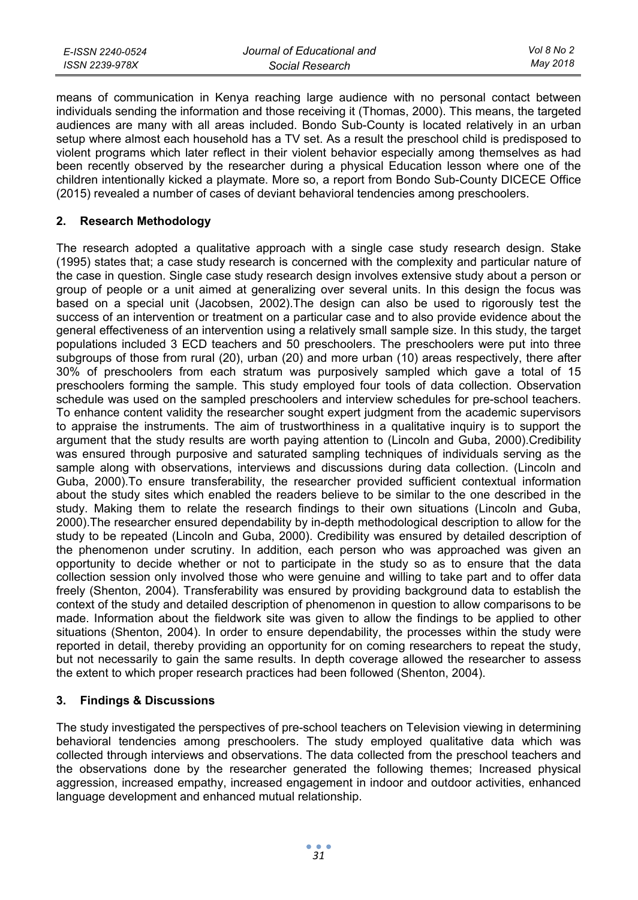| E-ISSN 2240-0524 | Journal of Educational and | Vol 8 No 2 |
|------------------|----------------------------|------------|
| ISSN 2239-978X   | Social Research            | May 2018   |

means of communication in Kenya reaching large audience with no personal contact between individuals sending the information and those receiving it (Thomas, 2000). This means, the targeted audiences are many with all areas included. Bondo Sub-County is located relatively in an urban setup where almost each household has a TV set. As a result the preschool child is predisposed to violent programs which later reflect in their violent behavior especially among themselves as had been recently observed by the researcher during a physical Education lesson where one of the children intentionally kicked a playmate. More so, a report from Bondo Sub-County DICECE Office (2015) revealed a number of cases of deviant behavioral tendencies among preschoolers.

## **2. Research Methodology**

The research adopted a qualitative approach with a single case study research design. Stake (1995) states that; a case study research is concerned with the complexity and particular nature of the case in question. Single case study research design involves extensive study about a person or group of people or a unit aimed at generalizing over several units. In this design the focus was based on a special unit (Jacobsen, 2002).The design can also be used to rigorously test the success of an intervention or treatment on a particular case and to also provide evidence about the general effectiveness of an intervention using a relatively small sample size. In this study, the target populations included 3 ECD teachers and 50 preschoolers. The preschoolers were put into three subgroups of those from rural (20), urban (20) and more urban (10) areas respectively, there after 30% of preschoolers from each stratum was purposively sampled which gave a total of 15 preschoolers forming the sample. This study employed four tools of data collection. Observation schedule was used on the sampled preschoolers and interview schedules for pre-school teachers. To enhance content validity the researcher sought expert judgment from the academic supervisors to appraise the instruments. The aim of trustworthiness in a qualitative inquiry is to support the argument that the study results are worth paying attention to (Lincoln and Guba, 2000).Credibility was ensured through purposive and saturated sampling techniques of individuals serving as the sample along with observations, interviews and discussions during data collection. (Lincoln and Guba, 2000).To ensure transferability, the researcher provided sufficient contextual information about the study sites which enabled the readers believe to be similar to the one described in the study. Making them to relate the research findings to their own situations (Lincoln and Guba, 2000).The researcher ensured dependability by in-depth methodological description to allow for the study to be repeated (Lincoln and Guba, 2000). Credibility was ensured by detailed description of the phenomenon under scrutiny. In addition, each person who was approached was given an opportunity to decide whether or not to participate in the study so as to ensure that the data collection session only involved those who were genuine and willing to take part and to offer data freely (Shenton, 2004). Transferability was ensured by providing background data to establish the context of the study and detailed description of phenomenon in question to allow comparisons to be made. Information about the fieldwork site was given to allow the findings to be applied to other situations (Shenton, 2004). In order to ensure dependability, the processes within the study were reported in detail, thereby providing an opportunity for on coming researchers to repeat the study, but not necessarily to gain the same results. In depth coverage allowed the researcher to assess the extent to which proper research practices had been followed (Shenton, 2004).

## **3. Findings & Discussions**

The study investigated the perspectives of pre-school teachers on Television viewing in determining behavioral tendencies among preschoolers. The study employed qualitative data which was collected through interviews and observations. The data collected from the preschool teachers and the observations done by the researcher generated the following themes; Increased physical aggression, increased empathy, increased engagement in indoor and outdoor activities, enhanced language development and enhanced mutual relationship.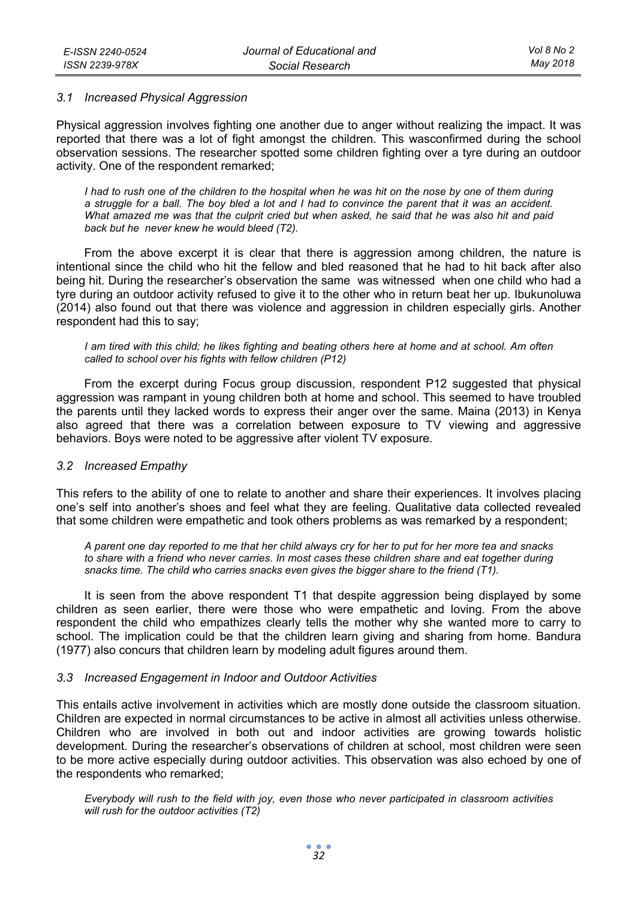### *3.1 Increased Physical Aggression*

Physical aggression involves fighting one another due to anger without realizing the impact. It was reported that there was a lot of fight amongst the children. This wasconfirmed during the school observation sessions. The researcher spotted some children fighting over a tyre during an outdoor activity. One of the respondent remarked;

*I* had to rush one of the children to the hospital when he was hit on the nose by one of them during *a struggle for a ball. The boy bled a lot and I had to convince the parent that it was an accident. What amazed me was that the culprit cried but when asked, he said that he was also hit and paid back but he never knew he would bleed (T2).* 

From the above excerpt it is clear that there is aggression among children, the nature is intentional since the child who hit the fellow and bled reasoned that he had to hit back after also being hit. During the researcher's observation the same was witnessed when one child who had a tyre during an outdoor activity refused to give it to the other who in return beat her up. Ibukunoluwa (2014) also found out that there was violence and aggression in children especially girls. Another respondent had this to say;

*I am tired with this child; he likes fighting and beating others here at home and at school. Am often called to school over his fights with fellow children (P12)* 

From the excerpt during Focus group discussion, respondent P12 suggested that physical aggression was rampant in young children both at home and school. This seemed to have troubled the parents until they lacked words to express their anger over the same. Maina (2013) in Kenya also agreed that there was a correlation between exposure to TV viewing and aggressive behaviors. Boys were noted to be aggressive after violent TV exposure.

#### *3.2 Increased Empathy*

This refers to the ability of one to relate to another and share their experiences. It involves placing one's self into another's shoes and feel what they are feeling. Qualitative data collected revealed that some children were empathetic and took others problems as was remarked by a respondent;

*A parent one day reported to me that her child always cry for her to put for her more tea and snacks to share with a friend who never carries. In most cases these children share and eat together during snacks time. The child who carries snacks even gives the bigger share to the friend (T1).* 

It is seen from the above respondent T1 that despite aggression being displayed by some children as seen earlier, there were those who were empathetic and loving. From the above respondent the child who empathizes clearly tells the mother why she wanted more to carry to school. The implication could be that the children learn giving and sharing from home. Bandura (1977) also concurs that children learn by modeling adult figures around them.

## *3.3 Increased Engagement in Indoor and Outdoor Activities*

This entails active involvement in activities which are mostly done outside the classroom situation. Children are expected in normal circumstances to be active in almost all activities unless otherwise. Children who are involved in both out and indoor activities are growing towards holistic development. During the researcher's observations of children at school, most children were seen to be more active especially during outdoor activities. This observation was also echoed by one of the respondents who remarked;

*Everybody will rush to the field with joy, even those who never participated in classroom activities will rush for the outdoor activities (T2)*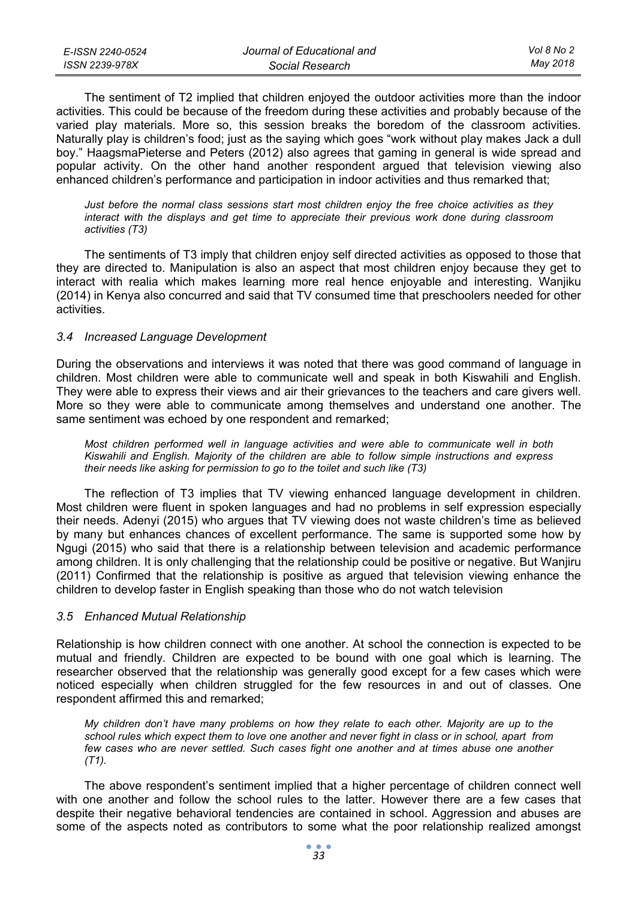| E-ISSN 2240-0524 | Journal of Educational and | Vol 8 No 2 |
|------------------|----------------------------|------------|
| ISSN 2239-978X   | Social Research            | May 2018   |

The sentiment of T2 implied that children enjoyed the outdoor activities more than the indoor activities. This could be because of the freedom during these activities and probably because of the varied play materials. More so, this session breaks the boredom of the classroom activities. Naturally play is children's food; just as the saying which goes "work without play makes Jack a dull boy." HaagsmaPieterse and Peters (2012) also agrees that gaming in general is wide spread and popular activity. On the other hand another respondent argued that television viewing also enhanced children's performance and participation in indoor activities and thus remarked that;

*Just before the normal class sessions start most children enjoy the free choice activities as they interact with the displays and get time to appreciate their previous work done during classroom activities (T3)* 

The sentiments of T3 imply that children enjoy self directed activities as opposed to those that they are directed to. Manipulation is also an aspect that most children enjoy because they get to interact with realia which makes learning more real hence enjoyable and interesting. Wanjiku (2014) in Kenya also concurred and said that TV consumed time that preschoolers needed for other activities.

#### *3.4 Increased Language Development*

During the observations and interviews it was noted that there was good command of language in children. Most children were able to communicate well and speak in both Kiswahili and English. They were able to express their views and air their grievances to the teachers and care givers well. More so they were able to communicate among themselves and understand one another. The same sentiment was echoed by one respondent and remarked;

*Most children performed well in language activities and were able to communicate well in both Kiswahili and English. Majority of the children are able to follow simple instructions and express their needs like asking for permission to go to the toilet and such like (T3)* 

The reflection of T3 implies that TV viewing enhanced language development in children. Most children were fluent in spoken languages and had no problems in self expression especially their needs. Adenyi (2015) who argues that TV viewing does not waste children's time as believed by many but enhances chances of excellent performance. The same is supported some how by Ngugi (2015) who said that there is a relationship between television and academic performance among children. It is only challenging that the relationship could be positive or negative. But Wanjiru (2011) Confirmed that the relationship is positive as argued that television viewing enhance the children to develop faster in English speaking than those who do not watch television

#### *3.5 Enhanced Mutual Relationship*

Relationship is how children connect with one another. At school the connection is expected to be mutual and friendly. Children are expected to be bound with one goal which is learning. The researcher observed that the relationship was generally good except for a few cases which were noticed especially when children struggled for the few resources in and out of classes. One respondent affirmed this and remarked;

*My children don't have many problems on how they relate to each other. Majority are up to the school rules which expect them to love one another and never fight in class or in school, apart from few cases who are never settled. Such cases fight one another and at times abuse one another (T1).* 

The above respondent's sentiment implied that a higher percentage of children connect well with one another and follow the school rules to the latter. However there are a few cases that despite their negative behavioral tendencies are contained in school. Aggression and abuses are some of the aspects noted as contributors to some what the poor relationship realized amongst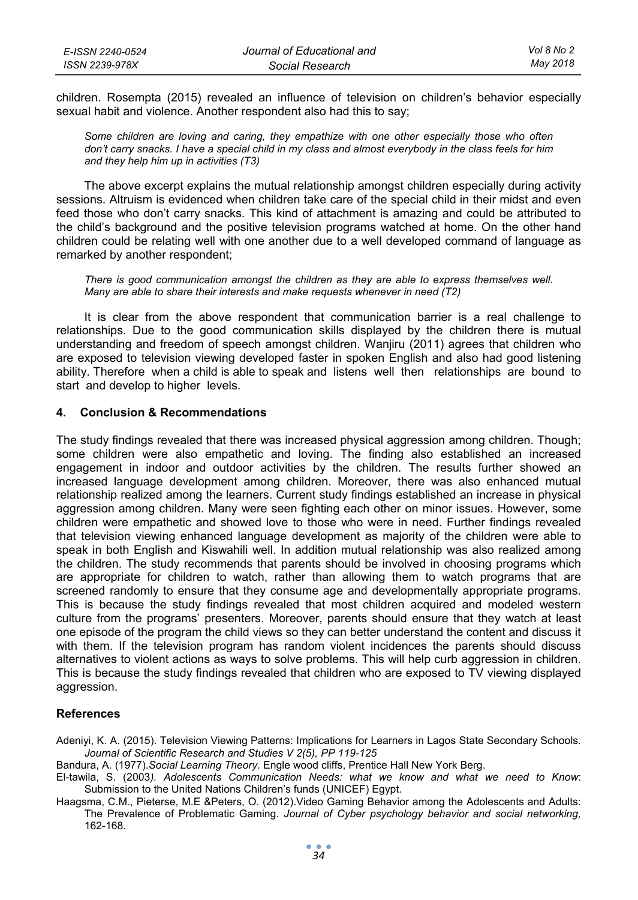| E-ISSN 2240-0524 | Journal of Educational and | Vol 8 No 2 |
|------------------|----------------------------|------------|
| ISSN 2239-978X   | Social Research            | May 2018   |

children. Rosempta (2015) revealed an influence of television on children's behavior especially sexual habit and violence. Another respondent also had this to say;

*Some children are loving and caring, they empathize with one other especially those who often don't carry snacks. I have a special child in my class and almost everybody in the class feels for him and they help him up in activities (T3)* 

The above excerpt explains the mutual relationship amongst children especially during activity sessions. Altruism is evidenced when children take care of the special child in their midst and even feed those who don't carry snacks. This kind of attachment is amazing and could be attributed to the child's background and the positive television programs watched at home. On the other hand children could be relating well with one another due to a well developed command of language as remarked by another respondent;

*There is good communication amongst the children as they are able to express themselves well. Many are able to share their interests and make requests whenever in need (T2)* 

It is clear from the above respondent that communication barrier is a real challenge to relationships. Due to the good communication skills displayed by the children there is mutual understanding and freedom of speech amongst children. Wanjiru (2011) agrees that children who are exposed to television viewing developed faster in spoken English and also had good listening ability. Therefore when a child is able to speak and listens well then relationships are bound to start and develop to higher levels.

### **4. Conclusion & Recommendations**

The study findings revealed that there was increased physical aggression among children. Though; some children were also empathetic and loving. The finding also established an increased engagement in indoor and outdoor activities by the children. The results further showed an increased language development among children. Moreover, there was also enhanced mutual relationship realized among the learners. Current study findings established an increase in physical aggression among children. Many were seen fighting each other on minor issues. However, some children were empathetic and showed love to those who were in need. Further findings revealed that television viewing enhanced language development as majority of the children were able to speak in both English and Kiswahili well. In addition mutual relationship was also realized among the children. The study recommends that parents should be involved in choosing programs which are appropriate for children to watch, rather than allowing them to watch programs that are screened randomly to ensure that they consume age and developmentally appropriate programs. This is because the study findings revealed that most children acquired and modeled western culture from the programs' presenters. Moreover, parents should ensure that they watch at least one episode of the program the child views so they can better understand the content and discuss it with them. If the television program has random violent incidences the parents should discuss alternatives to violent actions as ways to solve problems. This will help curb aggression in children. This is because the study findings revealed that children who are exposed to TV viewing displayed aggression.

#### **References**

Adeniyi, K. A. (2015). Television Viewing Patterns: Implications for Learners in Lagos State Secondary Schools*. Journal of Scientific Research and Studies V 2(5), PP 119-125* 

Bandura, A. (1977).*Social Learning Theory*. Engle wood cliffs, Prentice Hall New York Berg.

El-tawila, S. (2003*). Adolescents Communication Needs: what we know and what we need to Know*: Submission to the United Nations Children's funds (UNICEF) Egypt.

Haagsma, C.M., Pieterse, M.E &Peters, O. (2012).Video Gaming Behavior among the Adolescents and Adults: The Prevalence of Problematic Gaming. *Journal of Cyber psychology behavior and social networking,* 162-168.